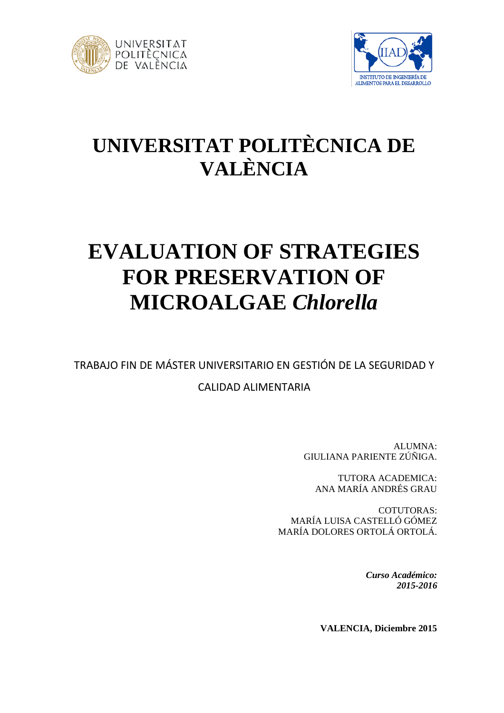



# **UNIVERSITAT POLITÈCNICA DE VALÈNCIA**

# **EVALUATION OF STRATEGIES FOR PRESERVATION OF MICROALGAE** *Chlorella*

TRABAJO FIN DE MÁSTER UNIVERSITARIO EN GESTIÓN DE LA SEGURIDAD Y

# CALIDAD ALIMENTARIA

ALUMNA: GIULIANA PARIENTE ZÚÑIGA.

TUTORA ACADEMICA: ANA MARÍA ANDRÉS GRAU

COTUTORAS: MARÍA LUISA CASTELLÓ GÓMEZ MARÍA DOLORES ORTOLÁ ORTOLÁ.

> *Curso Académico: 2015-2016*

**VALENCIA, Diciembre 2015**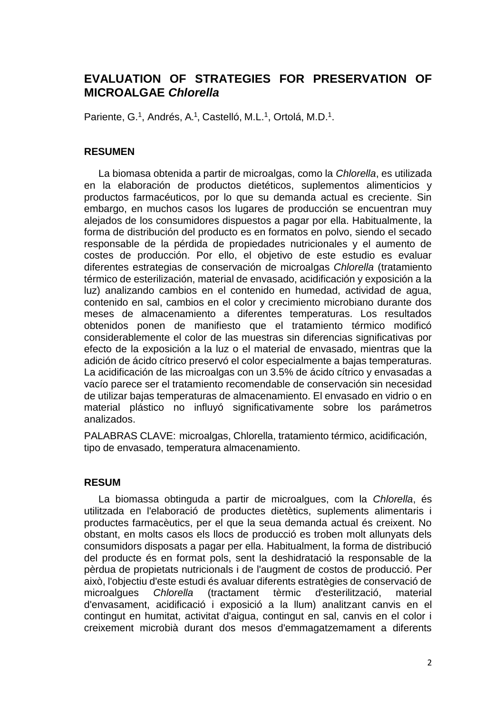# **EVALUATION OF STRATEGIES FOR PRESERVATION OF MICROALGAE** *Chlorella*

Pariente, G.<sup>1</sup>, Andrés, A.<sup>1</sup>, Castelló, M.L.<sup>1</sup>, Ortolá, M.D.<sup>1</sup>.

# **RESUMEN**

La biomasa obtenida a partir de microalgas, como la *Chlorella*, es utilizada en la elaboración de productos dietéticos, suplementos alimenticios y productos farmacéuticos, por lo que su demanda actual es creciente. Sin embargo, en muchos casos los lugares de producción se encuentran muy alejados de los consumidores dispuestos a pagar por ella. Habitualmente, la forma de distribución del producto es en formatos en polvo, siendo el secado responsable de la pérdida de propiedades nutricionales y el aumento de costes de producción. Por ello, el objetivo de este estudio es evaluar diferentes estrategias de conservación de microalgas *Chlorella* (tratamiento térmico de esterilización, material de envasado, acidificación y exposición a la luz) analizando cambios en el contenido en humedad, actividad de agua, contenido en sal, cambios en el color y crecimiento microbiano durante dos meses de almacenamiento a diferentes temperaturas. Los resultados obtenidos ponen de manifiesto que el tratamiento térmico modificó considerablemente el color de las muestras sin diferencias significativas por efecto de la exposición a la luz o el material de envasado, mientras que la adición de ácido cítrico preservó el color especialmente a bajas temperaturas. La acidificación de las microalgas con un 3.5% de ácido cítrico y envasadas a vacío parece ser el tratamiento recomendable de conservación sin necesidad de utilizar bajas temperaturas de almacenamiento. El envasado en vidrio o en material plástico no influyó significativamente sobre los parámetros analizados.

PALABRAS CLAVE: microalgas, Chlorella, tratamiento térmico, acidificación, tipo de envasado, temperatura almacenamiento.

# **RESUM**

La biomassa obtinguda a partir de microalgues, com la *Chlorella*, és utilitzada en l'elaboració de productes dietètics, suplements alimentaris i productes farmacèutics, per el que la seua demanda actual és creixent. No obstant, en molts casos els llocs de producció es troben molt allunyats dels consumidors disposats a pagar per ella. Habitualment, la forma de distribució del producte és en format pols, sent la deshidratació la responsable de la pèrdua de propietats nutricionals i de l'augment de costos de producció. Per això, l'objectiu d'este estudi és avaluar diferents estratègies de conservació de microalgues *Chlorella* (tractament tèrmic d'esterilització, material d'envasament, acidificació i exposició a la llum) analitzant canvis en el contingut en humitat, activitat d'aigua, contingut en sal, canvis en el color i creixement microbià durant dos mesos d'emmagatzemament a diferents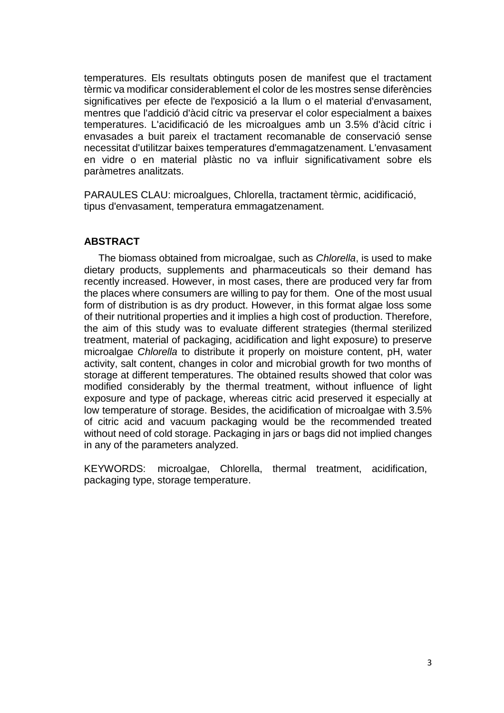temperatures. Els resultats obtinguts posen de manifest que el tractament tèrmic va modificar considerablement el color de les mostres sense diferències significatives per efecte de l'exposició a la llum o el material d'envasament, mentres que l'addició d'àcid cítric va preservar el color especialment a baixes temperatures. L'acidificació de les microalgues amb un 3.5% d'àcid cítric i envasades a buit pareix el tractament recomanable de conservació sense necessitat d'utilitzar baixes temperatures d'emmagatzenament. L'envasament en vidre o en material plàstic no va influir significativament sobre els paràmetres analitzats.

PARAULES CLAU: microalgues, Chlorella, tractament tèrmic, acidificació, tipus d'envasament, temperatura emmagatzenament.

# **ABSTRACT**

The biomass obtained from microalgae, such as *Chlorella*, is used to make dietary products, supplements and pharmaceuticals so their demand has recently increased. However, in most cases, there are produced very far from the places where consumers are willing to pay for them. One of the most usual form of distribution is as dry product. However, in this format algae loss some of their nutritional properties and it implies a high cost of production. Therefore, the aim of this study was to evaluate different strategies (thermal sterilized treatment, material of packaging, acidification and light exposure) to preserve microalgae *Chlorella* to distribute it properly on moisture content, pH, water activity, salt content, changes in color and microbial growth for two months of storage at different temperatures. The obtained results showed that color was modified considerably by the thermal treatment, without influence of light exposure and type of package, whereas citric acid preserved it especially at low temperature of storage. Besides, the acidification of microalgae with 3.5% of citric acid and vacuum packaging would be the recommended treated without need of cold storage. Packaging in jars or bags did not implied changes in any of the parameters analyzed.

KEYWORDS: microalgae, Chlorella, thermal treatment, acidification, packaging type, storage temperature.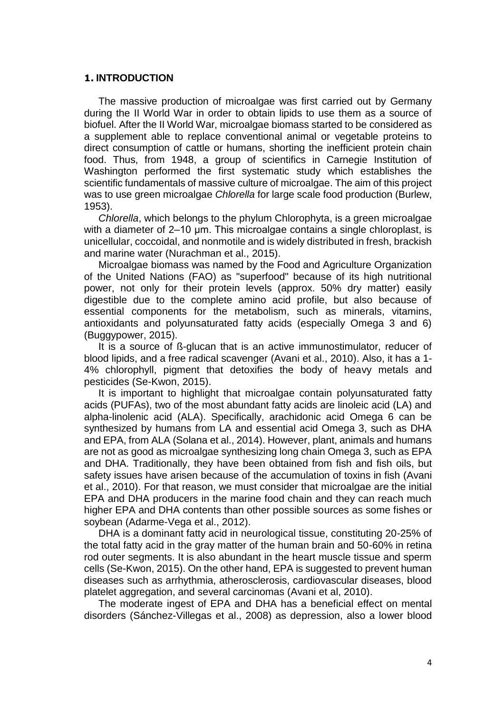#### **1. INTRODUCTION**

The massive production of microalgae was first carried out by Germany during the II World War in order to obtain lipids to use them as a source of biofuel. After the II World War, microalgae biomass started to be considered as a supplement able to replace conventional animal or vegetable proteins to direct consumption of cattle or humans, shorting the inefficient protein chain food. Thus, from 1948, a group of scientifics in Carnegie Institution of Washington performed the first systematic study which establishes the scientific fundamentals of massive culture of microalgae. The aim of this project was to use green microalgae *Chlorella* for large scale food production (Burlew, 1953).

*Chlorella*, which belongs to the phylum Chlorophyta, is a green microalgae with a diameter of 2–10 μm. This microalgae contains a single chloroplast, is unicellular, coccoidal, and nonmotile and is widely distributed in fresh, brackish and marine water (Nurachman et al., 2015).

Microalgae biomass was named by the Food and Agriculture Organization of the United Nations (FAO) as "superfood" because of its high nutritional power, not only for their protein levels (approx. 50% dry matter) easily digestible due to the complete amino acid profile, but also because of essential components for the metabolism, such as minerals, vitamins, antioxidants and polyunsaturated fatty acids (especially Omega 3 and 6) (Buggypower, 2015).

It is a source of ß-glucan that is an active immunostimulator, reducer of blood lipids, and a free radical scavenger (Avani et al., 2010). Also, it has a 1- 4% chlorophyll, pigment that detoxifies the body of heavy metals and pesticides (Se-Kwon, 2015).

It is important to highlight that microalgae contain polyunsaturated fatty acids (PUFAs), two of the most abundant fatty acids are linoleic acid (LA) and alpha-linolenic acid (ALA). Specifically, arachidonic acid Omega 6 can be synthesized by humans from LA and essential acid Omega 3, such as DHA and EPA, from ALA (Solana et al., 2014). However, plant, animals and humans are not as good as microalgae synthesizing long chain Omega 3, such as EPA and DHA. Traditionally, they have been obtained from fish and fish oils, but safety issues have arisen because of the accumulation of toxins in fish (Avani et al., 2010). For that reason, we must consider that microalgae are the initial EPA and DHA producers in the marine food chain and they can reach much higher EPA and DHA contents than other possible sources as some fishes or soybean (Adarme-Vega et al., 2012).

DHA is a dominant fatty acid in neurological tissue, constituting 20-25% of the total fatty acid in the gray matter of the human brain and 50-60% in retina rod outer segments. It is also abundant in the heart muscle tissue and sperm cells (Se-Kwon, 2015). On the other hand, EPA is suggested to prevent human diseases such as arrhythmia, atherosclerosis, cardiovascular diseases, blood platelet aggregation, and several carcinomas (Avani et al, 2010).

The moderate ingest of EPA and DHA has a beneficial effect on mental disorders (Sánchez-Villegas et al., 2008) as depression, also a lower blood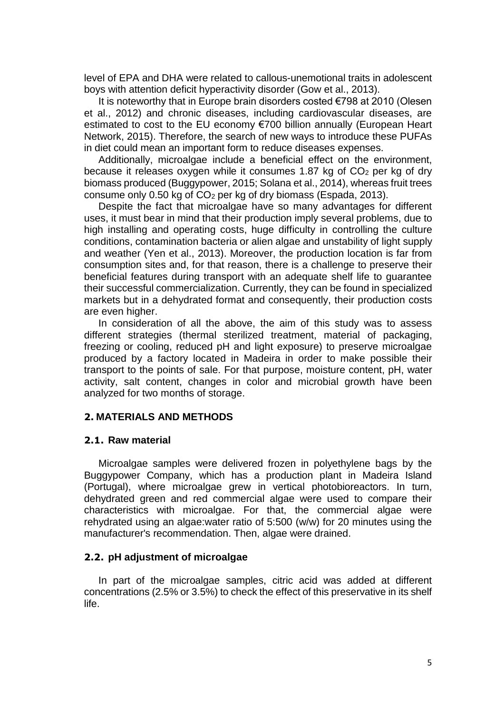level of EPA and DHA were related to callous-unemotional traits in adolescent boys with attention deficit hyperactivity disorder (Gow et al., 2013).

It is noteworthy that in Europe brain disorders costed €798 at 2010 (Olesen et al., 2012) and chronic diseases, including cardiovascular diseases, are estimated to cost to the EU economy €700 billion annually (European Heart Network, 2015). Therefore, the search of new ways to introduce these PUFAs in diet could mean an important form to reduce diseases expenses.

Additionally, microalgae include a beneficial effect on the environment, because it releases oxygen while it consumes 1.87 kg of  $CO<sub>2</sub>$  per kg of dry biomass produced (Buggypower, 2015; Solana et al., 2014), whereas fruit trees consume only 0.50 kg of CO<sup>2</sup> per kg of dry biomass (Espada, 2013).

Despite the fact that microalgae have so many advantages for different uses, it must bear in mind that their production imply several problems, due to high installing and operating costs, huge difficulty in controlling the culture conditions, contamination bacteria or alien algae and unstability of light supply and weather (Yen et al., 2013). Moreover, the production location is far from consumption sites and, for that reason, there is a challenge to preserve their beneficial features during transport with an adequate shelf life to guarantee their successful commercialization. Currently, they can be found in specialized markets but in a dehydrated format and consequently, their production costs are even higher.

In consideration of all the above, the aim of this study was to assess different strategies (thermal sterilized treatment, material of packaging, freezing or cooling, reduced pH and light exposure) to preserve microalgae produced by a factory located in Madeira in order to make possible their transport to the points of sale. For that purpose, moisture content, pH, water activity, salt content, changes in color and microbial growth have been analyzed for two months of storage.

# **2. MATERIALS AND METHODS**

#### **2.1. Raw material**

Microalgae samples were delivered frozen in polyethylene bags by the Buggypower Company, which has a production plant in Madeira Island (Portugal), where microalgae grew in vertical photobioreactors. In turn, dehydrated green and red commercial algae were used to compare their characteristics with microalgae. For that, the commercial algae were rehydrated using an algae:water ratio of 5:500 (w/w) for 20 minutes using the manufacturer's recommendation. Then, algae were drained.

# **2.2. pH adjustment of microalgae**

In part of the microalgae samples, citric acid was added at different concentrations (2.5% or 3.5%) to check the effect of this preservative in its shelf life.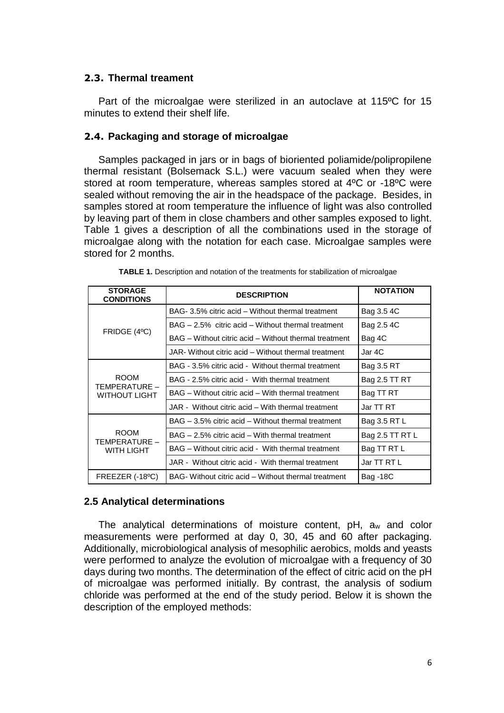# **2.3. Thermal treament**

Part of the microalgae were sterilized in an autoclave at 115ºC for 15 minutes to extend their shelf life.

# **2.4. Packaging and storage of microalgae**

Samples packaged in jars or in bags of bioriented poliamide/polipropilene thermal resistant (Bolsemack S.L.) were vacuum sealed when they were stored at room temperature, whereas samples stored at 4ºC or -18ºC were sealed without removing the air in the headspace of the package. Besides, in samples stored at room temperature the influence of light was also controlled by leaving part of them in close chambers and other samples exposed to light. Table 1 gives a description of all the combinations used in the storage of microalgae along with the notation for each case. Microalgae samples were stored for 2 months.

| <b>STORAGE</b><br><b>CONDITIONS</b>                  | <b>DESCRIPTION</b>                                    | <b>NOTATION</b> |  |
|------------------------------------------------------|-------------------------------------------------------|-----------------|--|
|                                                      | BAG- 3.5% citric acid – Without thermal treatment     | Bag 3.5 4C      |  |
| FRIDGE (4°C)                                         | BAG – 2.5% citric acid – Without thermal treatment    | Bag 2.5 4C      |  |
|                                                      | BAG – Without citric acid – Without thermal treatment | Bag 4C          |  |
|                                                      | JAR- Without citric acid – Without thermal treatment  | Jar 4C          |  |
| <b>ROOM</b><br>TEMPERATURE –<br><b>WITHOUT LIGHT</b> | BAG - 3.5% citric acid - Without thermal treatment    | Bag 3.5 RT      |  |
|                                                      | BAG - 2.5% citric acid - With thermal treatment       | Bag 2.5 TT RT   |  |
|                                                      | BAG – Without citric acid – With thermal treatment    | Bag TT RT       |  |
|                                                      | JAR - Without citric acid – With thermal treatment    | Jar TT RT       |  |
| <b>ROOM</b><br>TEMPERATURE –<br><b>WITH LIGHT</b>    | BAG – 3.5% citric acid – Without thermal treatment    | Bag 3.5 RT L    |  |
|                                                      | BAG – 2.5% citric acid – With thermal treatment       | Bag 2.5 TT RT L |  |
|                                                      | BAG - Without citric acid - With thermal treatment    | Bag TT RT L     |  |
|                                                      | JAR - Without citric acid - With thermal treatment    | Jar TT RT L     |  |
| FREEZER (-18 <sup>o</sup> C)                         | BAG- Without citric acid – Without thermal treatment  |                 |  |

| TABLE 1. Description and notation of the treatments for stabilization of microalgae |  |
|-------------------------------------------------------------------------------------|--|
|-------------------------------------------------------------------------------------|--|

# **2.5 Analytical determinations**

The analytical determinations of moisture content, pH, a<sup>w</sup> and color measurements were performed at day 0, 30, 45 and 60 after packaging. Additionally, microbiological analysis of mesophilic aerobics, molds and yeasts were performed to analyze the evolution of microalgae with a frequency of 30 days during two months. The determination of the effect of citric acid on the pH of microalgae was performed initially. By contrast, the analysis of sodium chloride was performed at the end of the study period. Below it is shown the description of the employed methods: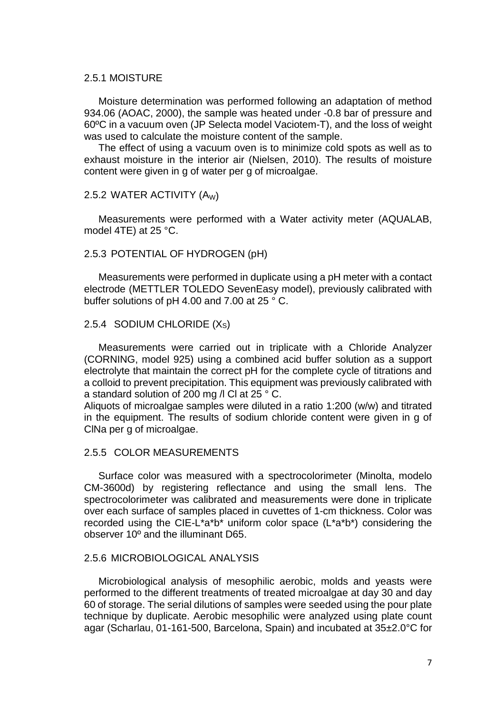## 2.5.1 MOISTURE

Moisture determination was performed following an adaptation of method 934.06 (AOAC, 2000), the sample was heated under -0.8 bar of pressure and 60ºC in a vacuum oven (JP Selecta model Vaciotem-T), and the loss of weight was used to calculate the moisture content of the sample.

The effect of using a vacuum oven is to minimize cold spots as well as to exhaust moisture in the interior air (Nielsen, 2010). The results of moisture content were given in g of water per g of microalgae.

#### 2.5.2 WATER ACTIVITY (AW)

Measurements were performed with a Water activity meter (AQUALAB, model 4TE) at 25 °C.

# 2.5.3 POTENTIAL OF HYDROGEN (pH)

Measurements were performed in duplicate using a pH meter with a contact electrode (METTLER TOLEDO SevenEasy model), previously calibrated with buffer solutions of pH 4.00 and 7.00 at 25 ° C.

# 2.5.4 SODIUM CHLORIDE (XS)

Measurements were carried out in triplicate with a Chloride Analyzer (CORNING, model 925) using a combined acid buffer solution as a support electrolyte that maintain the correct pH for the complete cycle of titrations and a colloid to prevent precipitation. This equipment was previously calibrated with a standard solution of 200 mg /l Cl at 25 ° C.

Aliquots of microalgae samples were diluted in a ratio 1:200 (w/w) and titrated in the equipment. The results of sodium chloride content were given in g of ClNa per g of microalgae.

# 2.5.5 COLOR MEASUREMENTS

Surface color was measured with a spectrocolorimeter (Minolta, modelo CM-3600d) by registering reflectance and using the small lens. The spectrocolorimeter was calibrated and measurements were done in triplicate over each surface of samples placed in cuvettes of 1-cm thickness. Color was recorded using the CIE-L\*a\*b\* uniform color space (L\*a\*b\*) considering the observer 10º and the illuminant D65.

#### 2.5.6 MICROBIOLOGICAL ANALYSIS

Microbiological analysis of mesophilic aerobic, molds and yeasts were performed to the different treatments of treated microalgae at day 30 and day 60 of storage. The serial dilutions of samples were seeded using the pour plate technique by duplicate. Aerobic mesophilic were analyzed using plate count agar (Scharlau, 01-161-500, Barcelona, Spain) and incubated at 35±2.0°C for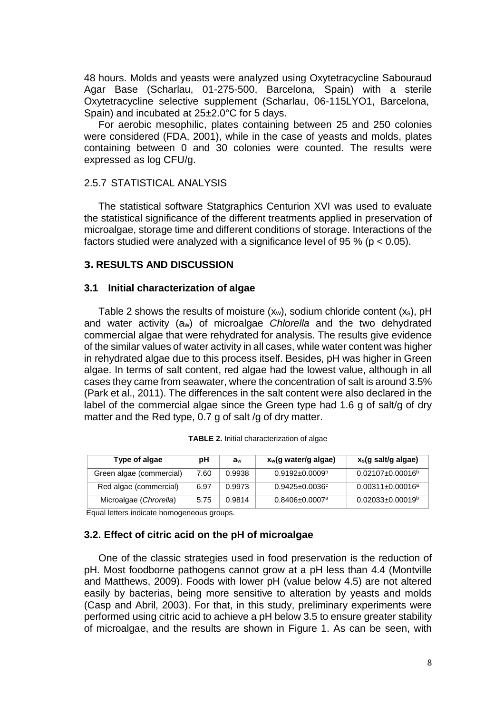48 hours. Molds and yeasts were analyzed using Oxytetracycline Sabouraud Agar Base (Scharlau, 01-275-500, Barcelona, Spain) with a sterile Oxytetracycline selective supplement (Scharlau, 06-115LYO1, Barcelona, Spain) and incubated at 25±2.0°C for 5 days.

For aerobic mesophilic, plates containing between 25 and 250 colonies were considered (FDA, 2001), while in the case of yeasts and molds, plates containing between 0 and 30 colonies were counted. The results were expressed as log CFU/g.

# 2.5.7 STATISTICAL ANALYSIS

The statistical software Statgraphics Centurion XVI was used to evaluate the statistical significance of the different treatments applied in preservation of microalgae, storage time and different conditions of storage. Interactions of the factors studied were analyzed with a significance level of 95 % ( $p < 0.05$ ).

#### **3. RESULTS AND DISCUSSION**

#### **3.1 Initial characterization of algae**

Table 2 shows the results of moisture  $(x_w)$ , sodium chloride content  $(x_s)$ , pH and water activity (aw) of microalgae *Chlorella* and the two dehydrated commercial algae that were rehydrated for analysis. The results give evidence of the similar values of water activity in all cases, while water content was higher in rehydrated algae due to this process itself. Besides, pH was higher in Green algae. In terms of salt content, red algae had the lowest value, although in all cases they came from seawater, where the concentration of salt is around 3.5% (Park et al., 2011). The differences in the salt content were also declared in the label of the commercial algae since the Green type had 1.6 g of salt/g of dry matter and the Red type, 0.7 g of salt /g of dry matter.

| Type of algae            | рH<br>aw |        | x <sub>w</sub> (g water/g algae) | x <sub>s</sub> (g salt/g algae) |  |
|--------------------------|----------|--------|----------------------------------|---------------------------------|--|
| Green algae (commercial) | 7.60     | 0.9938 | $0.9192 \pm 0.0009^{\circ}$      | $0.02107 \pm 0.00016^b$         |  |
| Red algae (commercial)   | 6.97     | 0.9973 | $0.9425 \pm 0.0036$ °            | $0.00311 \pm 0.00016^a$         |  |
| Microalgae (Chrorella)   | 5.75     | 0.9814 | $0.8406 \pm 0.0007$ <sup>a</sup> | $0.02033\pm0.00019^b$           |  |

|  |  |  |  |  | TABLE 2. Initial characterization of algae |  |  |
|--|--|--|--|--|--------------------------------------------|--|--|
|--|--|--|--|--|--------------------------------------------|--|--|

Equal letters indicate homogeneous groups.

#### **3.2. Effect of citric acid on the pH of microalgae**

One of the classic strategies used in food preservation is the reduction of pH. Most foodborne pathogens cannot grow at a pH less than 4.4 (Montville and Matthews, 2009). Foods with lower pH (value below 4.5) are not altered easily by bacterias, being more sensitive to alteration by yeasts and molds (Casp and Abril, 2003). For that, in this study, preliminary experiments were performed using citric acid to achieve a pH below 3.5 to ensure greater stability of microalgae, and the results are shown in Figure 1. As can be seen, with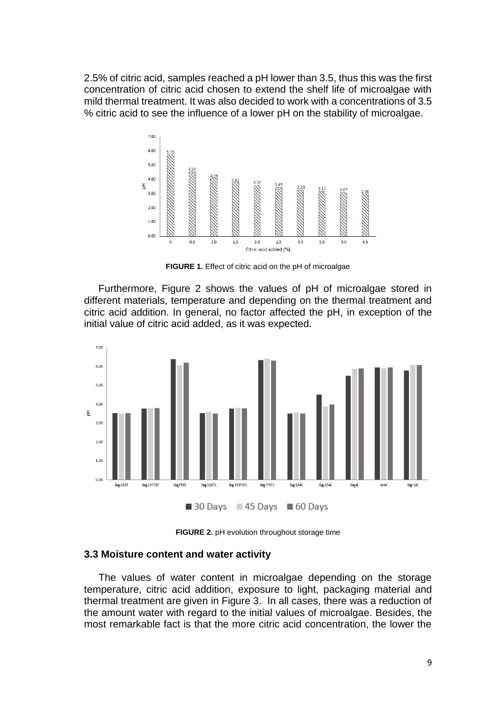2.5% of citric acid, samples reached a pH lower than 3.5, thus this was the first concentration of citric acid chosen to extend the shelf life of microalgae with mild thermal treatment. It was also decided to work with a concentrations of 3.5 % citric acid to see the influence of a lower pH on the stability of microalgae.



**FIGURE 1.** Effect of citric acid on the pH of microalgae

Furthermore, Figure 2 shows the values of pH of microalgae stored in different materials, temperature and depending on the thermal treatment and citric acid addition. In general, no factor affected the pH, in exception of the initial value of citric acid added, as it was expected.



**FIGURE 2.** pH evolution throughout storage time

#### **3.3 Moisture content and water activity**

The values of water content in microalgae depending on the storage temperature, citric acid addition, exposure to light, packaging material and thermal treatment are given in Figure 3. In all cases, there was a reduction of the amount water with regard to the initial values of microalgae. Besides, the most remarkable fact is that the more citric acid concentration, the lower the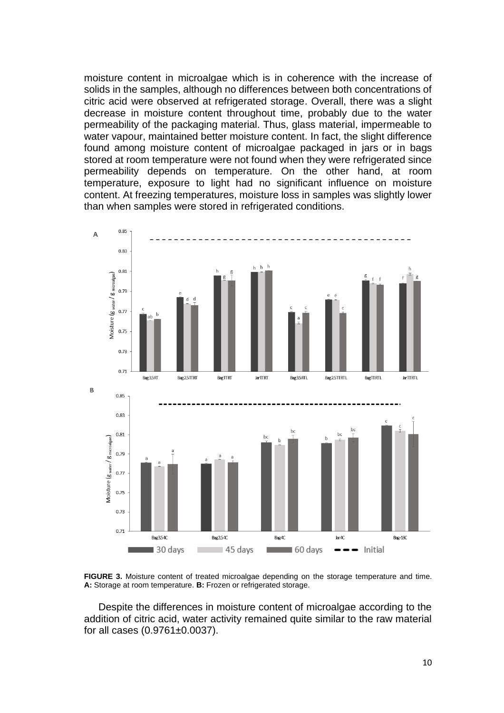moisture content in microalgae which is in coherence with the increase of solids in the samples, although no differences between both concentrations of citric acid were observed at refrigerated storage. Overall, there was a slight decrease in moisture content throughout time, probably due to the water permeability of the packaging material. Thus, glass material, impermeable to water vapour, maintained better moisture content. In fact, the slight difference found among moisture content of microalgae packaged in jars or in bags stored at room temperature were not found when they were refrigerated since permeability depends on temperature. On the other hand, at room temperature, exposure to light had no significant influence on moisture content. At freezing temperatures, moisture loss in samples was slightly lower than when samples were stored in refrigerated conditions.



**FIGURE 3.** Moisture content of treated microalgae depending on the storage temperature and time. **A:** Storage at room temperature. **B:** Frozen or refrigerated storage.

Despite the differences in moisture content of microalgae according to the addition of citric acid, water activity remained quite similar to the raw material for all cases (0.9761±0.0037).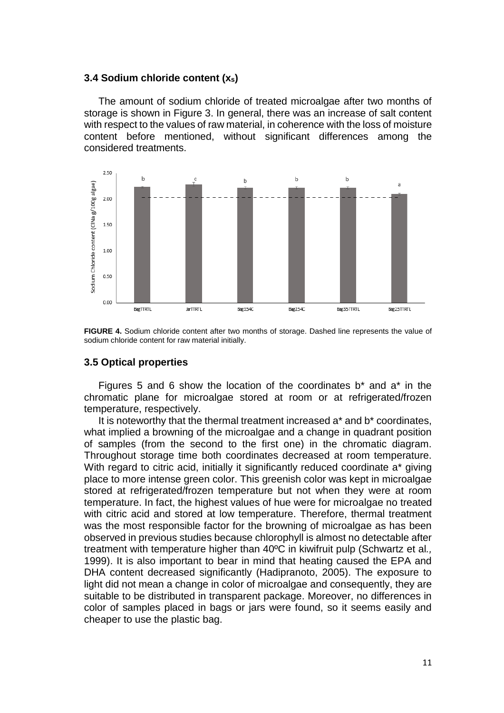#### **3.4 Sodium chloride content (xs)**

The amount of sodium chloride of treated microalgae after two months of storage is shown in Figure 3. In general, there was an increase of salt content with respect to the values of raw material, in coherence with the loss of moisture content before mentioned, without significant differences among the considered treatments.



**FIGURE 4.** Sodium chloride content after two months of storage. Dashed line represents the value of sodium chloride content for raw material initially.

#### **3.5 Optical properties**

Figures 5 and 6 show the location of the coordinates  $b^*$  and  $a^*$  in the chromatic plane for microalgae stored at room or at refrigerated/frozen temperature, respectively.

It is noteworthy that the thermal treatment increased a\* and b\* coordinates, what implied a browning of the microalgae and a change in quadrant position of samples (from the second to the first one) in the chromatic diagram. Throughout storage time both coordinates decreased at room temperature. With regard to citric acid, initially it significantly reduced coordinate a<sup>\*</sup> giving place to more intense green color. This greenish color was kept in microalgae stored at refrigerated/frozen temperature but not when they were at room temperature. In fact, the highest values of hue were for microalgae no treated with citric acid and stored at low temperature. Therefore, thermal treatment was the most responsible factor for the browning of microalgae as has been observed in previous studies because chlorophyll is almost no detectable after treatment with temperature higher than 40ºC in kiwifruit pulp (Schwartz et al*.,*  1999). It is also important to bear in mind that heating caused the EPA and DHA content decreased significantly (Hadipranoto, 2005). The exposure to light did not mean a change in color of microalgae and consequently, they are suitable to be distributed in transparent package. Moreover, no differences in color of samples placed in bags or jars were found, so it seems easily and cheaper to use the plastic bag.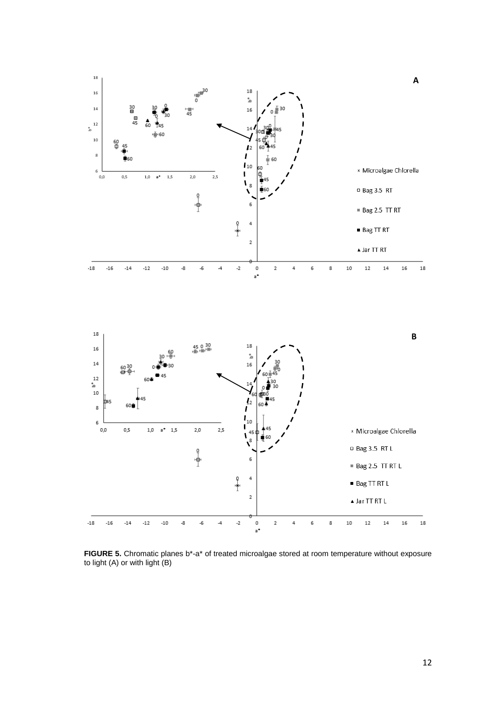

 $\overline{2}$  $\blacktriangle$  Jar TT RT L  $\mbox{-} 18$  $-16$  $-14$  $-12$  $-10$ -8  $\mbox{-}6$  $-4$  $\mathbf{-2}$  $\pmb{\mathsf{0}}$  $\mathbf 2$  $\overline{\mathbf{4}}$ 6 8  $10\,$  $12\,$  $14$ 16  $18\,$  $\mathsf{a}^\prime$ 

**FIGURE 5.** Chromatic planes b\*-a\* of treated microalgae stored at room temperature without exposure to light (A) or with light (B)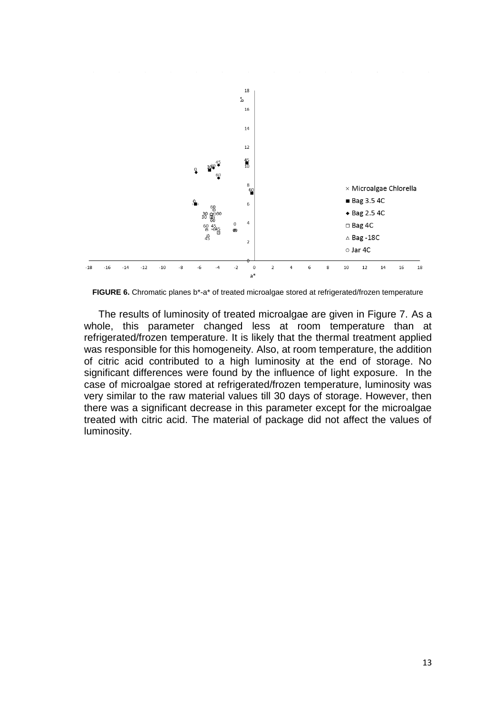

**FIGURE 6.** Chromatic planes b\*-a\* of treated microalgae stored at refrigerated/frozen temperature

The results of luminosity of treated microalgae are given in Figure 7. As a whole, this parameter changed less at room temperature than at refrigerated/frozen temperature. It is likely that the thermal treatment applied was responsible for this homogeneity. Also, at room temperature, the addition of citric acid contributed to a high luminosity at the end of storage. No significant differences were found by the influence of light exposure. In the case of microalgae stored at refrigerated/frozen temperature, luminosity was very similar to the raw material values till 30 days of storage. However, then there was a significant decrease in this parameter except for the microalgae treated with citric acid. The material of package did not affect the values of luminosity.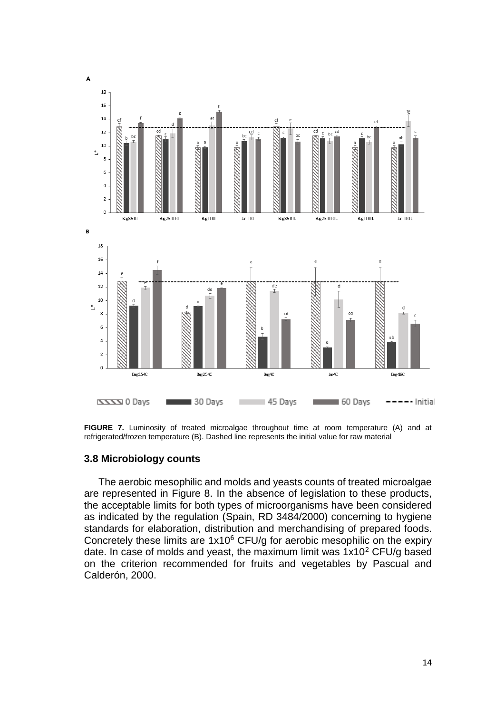

**FIGURE 7.** Luminosity of treated microalgae throughout time at room temperature (A) and at refrigerated/frozen temperature (B). Dashed line represents the initial value for raw material

#### **3.8 Microbiology counts**

The aerobic mesophilic and molds and yeasts counts of treated microalgae are represented in Figure 8. In the absence of legislation to these products, the acceptable limits for both types of microorganisms have been considered as indicated by the regulation (Spain, RD 3484/2000) concerning to hygiene standards for elaboration, distribution and merchandising of prepared foods. Concretely these limits are  $1x10^6$  CFU/g for aerobic mesophilic on the expiry date. In case of molds and yeast, the maximum limit was  $1x10^2$  CFU/g based on the criterion recommended for fruits and vegetables by Pascual and Calderón, 2000.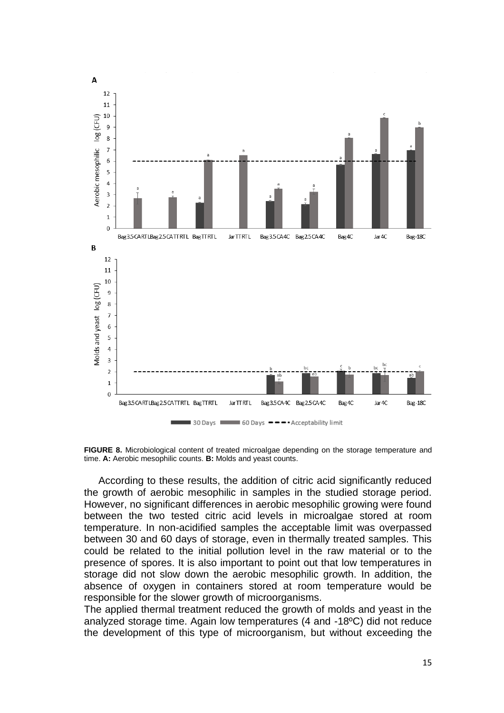

**FIGURE 8.** Microbiological content of treated microalgae depending on the storage temperature and time. **A:** Aerobic mesophilic counts. **B:** Molds and yeast counts.

According to these results, the addition of citric acid significantly reduced the growth of aerobic mesophilic in samples in the studied storage period. However, no significant differences in aerobic mesophilic growing were found between the two tested citric acid levels in microalgae stored at room temperature. In non-acidified samples the acceptable limit was overpassed between 30 and 60 days of storage, even in thermally treated samples. This could be related to the initial pollution level in the raw material or to the presence of spores. It is also important to point out that low temperatures in storage did not slow down the aerobic mesophilic growth. In addition, the absence of oxygen in containers stored at room temperature would be responsible for the slower growth of microorganisms.

The applied thermal treatment reduced the growth of molds and yeast in the analyzed storage time. Again low temperatures (4 and -18ºC) did not reduce the development of this type of microorganism, but without exceeding the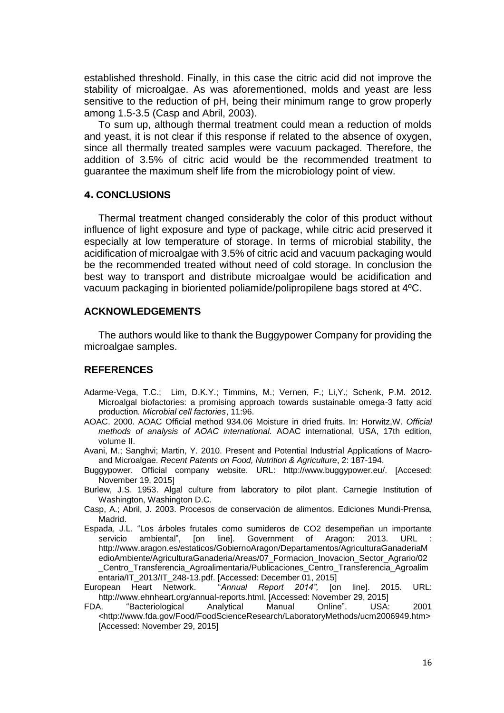established threshold. Finally, in this case the citric acid did not improve the stability of microalgae. As was aforementioned, molds and yeast are less sensitive to the reduction of pH, being their minimum range to grow properly among 1.5-3.5 (Casp and Abril, 2003).

To sum up, although thermal treatment could mean a reduction of molds and yeast, it is not clear if this response if related to the absence of oxygen, since all thermally treated samples were vacuum packaged. Therefore, the addition of 3.5% of citric acid would be the recommended treatment to guarantee the maximum shelf life from the microbiology point of view.

#### **4. CONCLUSIONS**

Thermal treatment changed considerably the color of this product without influence of light exposure and type of package, while citric acid preserved it especially at low temperature of storage. In terms of microbial stability, the acidification of microalgae with 3.5% of citric acid and vacuum packaging would be the recommended treated without need of cold storage. In conclusion the best way to transport and distribute microalgae would be acidification and vacuum packaging in bioriented poliamide/polipropilene bags stored at 4ºC.

# **ACKNOWLEDGEMENTS**

The authors would like to thank the Buggypower Company for providing the microalgae samples.

#### **REFERENCES**

- Adarme-Vega, T.C.; Lim, D.K.Y.; Timmins, M.; Vernen, F.; Li,Y.; Schenk, P.M. 2012. Microalgal biofactories: a promising approach towards sustainable omega-3 fatty acid production*. Microbial cell factories*, 11:96.
- AOAC. 2000. AOAC Official method 934.06 Moisture in dried fruits. In: Horwitz,W. *Official methods of analysis of AOAC international.* AOAC international, USA, 17th edition, volume II.
- Avani, M.; Sanghvi; Martin, Y. 2010. Present and Potential Industrial Applications of Macroand Microalgae. *Recent Patents on Food, Nutrition & Agriculture*, 2: 187-194.
- Buggypower. Official company website. URL: [http://www.buggypower.eu/.](http://www.buggypower.eu/) [Accesed: November 19, 2015]
- Burlew, J.S. 1953. Algal culture from laboratory to pilot plant. Carnegie Institution of Washington, Washington D.C.
- Casp, A.; Abril, J. 2003. Procesos de conservación de alimentos. Ediciones Mundi-Prensa, Madrid.
- Espada, J.L. "Los árboles frutales como sumideros de CO2 desempeñan un importante servicio ambiental", [on line]. Government of Aragon: 2013. URL [http://www.aragon.es/estaticos/GobiernoAragon/Departamentos/AgriculturaGanaderiaM](http://www.aragon.es/estaticos/GobiernoAragon/Departamentos/AgriculturaGanaderiaMedioAmbiente/AgriculturaGanaderia/Areas/07_Formacion_Inovacion_Sector_Agrario/02_Centro_Transferencia_Agroalimentaria/Publicaciones_Centro_Transferencia_Agroalimentaria/IT_2013/IT_248-13.pdf) [edioAmbiente/AgriculturaGanaderia/Areas/07\\_Formacion\\_Inovacion\\_Sector\\_Agrario/02](http://www.aragon.es/estaticos/GobiernoAragon/Departamentos/AgriculturaGanaderiaMedioAmbiente/AgriculturaGanaderia/Areas/07_Formacion_Inovacion_Sector_Agrario/02_Centro_Transferencia_Agroalimentaria/Publicaciones_Centro_Transferencia_Agroalimentaria/IT_2013/IT_248-13.pdf) [\\_Centro\\_Transferencia\\_Agroalimentaria/Publicaciones\\_Centro\\_Transferencia\\_Agroalim](http://www.aragon.es/estaticos/GobiernoAragon/Departamentos/AgriculturaGanaderiaMedioAmbiente/AgriculturaGanaderia/Areas/07_Formacion_Inovacion_Sector_Agrario/02_Centro_Transferencia_Agroalimentaria/Publicaciones_Centro_Transferencia_Agroalimentaria/IT_2013/IT_248-13.pdf) [entaria/IT\\_2013/IT\\_248-13.pdf.](http://www.aragon.es/estaticos/GobiernoAragon/Departamentos/AgriculturaGanaderiaMedioAmbiente/AgriculturaGanaderia/Areas/07_Formacion_Inovacion_Sector_Agrario/02_Centro_Transferencia_Agroalimentaria/Publicaciones_Centro_Transferencia_Agroalimentaria/IT_2013/IT_248-13.pdf) [Accessed: December 01, 2015]
- European Heart Network. "*Annual Report 2014",* [on line]. 2015. URL: http://www.ehnheart.org/annual-reports.html. [Accessed: November 29, 2015]
- FDA. "Bacteriological Analytical Manual Online". USA: 2001 <http://www.fda.gov/Food/FoodScienceResearch/LaboratoryMethods/ucm2006949.htm> [Accessed: November 29, 2015]